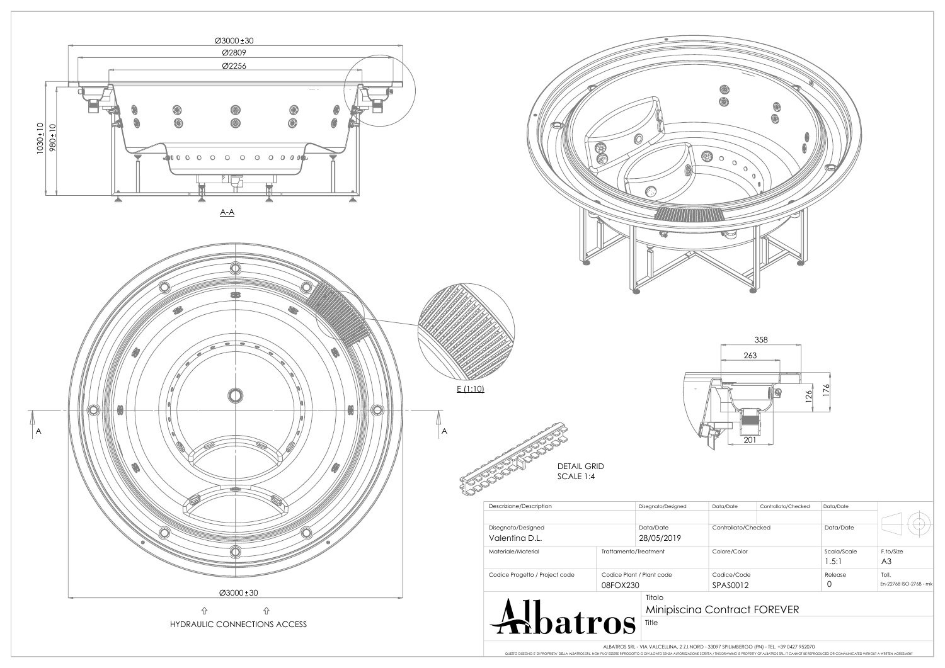| Controllato/Checked     | Data/Date            |                                 |
|-------------------------|----------------------|---------------------------------|
| Colore/Color            | Scala/Scale<br>1.5:1 | F.to/Size<br>A <sub>3</sub>     |
| Codice/Code<br>SPAS0012 | Release              | Toll.<br>En-22768 ISO-2768 - mk |